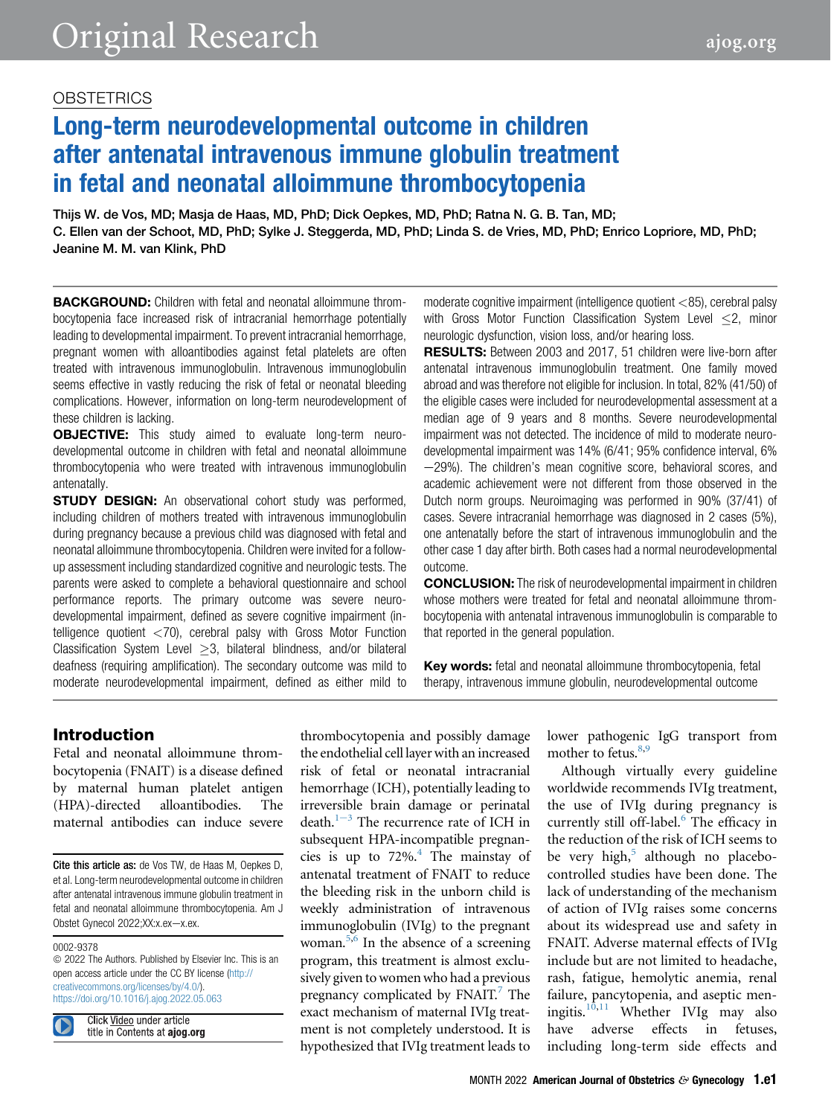## **OBSTETRICS**

# Long-term neurodevelopmental outcome in children after antenatal intravenous immune globulin treatment in fetal and neonatal alloimmune thrombocytopenia

Thijs W. de Vos, MD; Masja de Haas, MD, PhD; Dick Oepkes, MD, PhD; Ratna N. G. B. Tan, MD; C. Ellen van der Schoot, MD, PhD; Sylke J. Steggerda, MD, PhD; Linda S. de Vries, MD, PhD; Enrico Lopriore, MD, PhD; Jeanine M. M. van Klink, PhD

**BACKGROUND:** Children with fetal and neonatal alloimmune thrombocytopenia face increased risk of intracranial hemorrhage potentially leading to developmental impairment. To prevent intracranial hemorrhage, pregnant women with alloantibodies against fetal platelets are often treated with intravenous immunoglobulin. Intravenous immunoglobulin seems effective in vastly reducing the risk of fetal or neonatal bleeding complications. However, information on long-term neurodevelopment of these children is lacking.

**OBJECTIVE:** This study aimed to evaluate long-term neurodevelopmental outcome in children with fetal and neonatal alloimmune thrombocytopenia who were treated with intravenous immunoglobulin antenatally.

**STUDY DESIGN:** An observational cohort study was performed, including children of mothers treated with intravenous immunoglobulin during pregnancy because a previous child was diagnosed with fetal and neonatal alloimmune thrombocytopenia. Children were invited for a followup assessment including standardized cognitive and neurologic tests. The parents were asked to complete a behavioral questionnaire and school performance reports. The primary outcome was severe neurodevelopmental impairment, defined as severe cognitive impairment (intelligence quotient  $\langle 70 \rangle$ , cerebral palsy with Gross Motor Function Classification System Level  $\geq$ 3, bilateral blindness, and/or bilateral deafness (requiring amplification). The secondary outcome was mild to moderate neurodevelopmental impairment, defined as either mild to

moderate cognitive impairment (intelligence quotient <85), cerebral palsy with Gross Motor Function Classification System Level  $\leq$ 2, minor neurologic dysfunction, vision loss, and/or hearing loss.

RESULTS: Between 2003 and 2017, 51 children were live-born after antenatal intravenous immunoglobulin treatment. One family moved abroad and was therefore not eligible for inclusion. In total, 82% (41/50) of the eligible cases were included for neurodevelopmental assessment at a median age of 9 years and 8 months. Severe neurodevelopmental impairment was not detected. The incidence of mild to moderate neurodevelopmental impairment was 14% (6/41; 95% confidence interval, 6%  $-29%$ ). The children's mean cognitive score, behavioral scores, and academic achievement were not different from those observed in the Dutch norm groups. Neuroimaging was performed in 90% (37/41) of cases. Severe intracranial hemorrhage was diagnosed in 2 cases (5%), one antenatally before the start of intravenous immunoglobulin and the other case 1 day after birth. Both cases had a normal neurodevelopmental outcome.

CONCLUSION: The risk of neurodevelopmental impairment in children whose mothers were treated for fetal and neonatal alloimmune thrombocytopenia with antenatal intravenous immunoglobulin is comparable to that reported in the general population.

Key words: fetal and neonatal alloimmune thrombocytopenia, fetal therapy, intravenous immune globulin, neurodevelopmental outcome

## Introduction

Fetal and neonatal alloimmune thrombocytopenia (FNAIT) is a disease defined by maternal human platelet antigen (HPA)-directed alloantibodies. The maternal antibodies can induce severe

Cite this article as: de Vos TW, de Haas M, Oepkes D, et al. Long-term neurodevelopmental outcome in children after antenatal intravenous immune globulin treatment in fetal and neonatal alloimmune thrombocytopenia. Am J Obstet Gynecol 2022;XX:x.ex-x.ex.

#### 0002-9378

 $©$  2022 The Authors. Published by Elsevier Inc. This is an open access article under the CC BY license [\(http://](http://creativecommons.org/licenses/by/4.0/) [creativecommons.org/licenses/by/4.0/\)](http://creativecommons.org/licenses/by/4.0/). <https://doi.org/10.1016/j.ajog.2022.05.063>

Click Video under article title in Contents at ajog.org thrombocytopenia and possibly damage the endothelial cell layer with an increased risk of fetal or neonatal intracranial hemorrhage (ICH), potentially leading to irreversible brain damage or perinatal d[e](#page-7-0)ath. $1-3$  The recurrence rate of ICH in subsequent HPA-incompatible pregnancies is up to  $72\%$ .<sup>4</sup> The mainstay of antenatal treatment of FNAIT to reduce the bleeding risk in the unborn child is weekly administration of intravenous immunoglobulin (IVIg) to the pregnant woman. $5,6$  $5,6$  $5,6$  In the absence of a screening program, this treatment is almost exclusively given to women who had a previous pregnancy complicated by FNAIT.<sup>7</sup> The exact mechanism of maternal IVIg treatment is not completely understood. It is hypothesized that IVIg treatment leads to

lower pathogenic IgG transport from mother to fetus. $8,9$  $8,9$ 

Although virtually every guideline worldwide recommends IVIg treatment, the use of IVIg during pregnancy is currently still off-label.<sup>6</sup> The efficacy in the reduction of the risk of ICH seems to be very high, $5$  although no placebocontrolled studies have been done. The lack of understanding of the mechanism of action of IVIg raises some concerns about its widespread use and safety in FNAIT. Adverse maternal effects of IVIg include but are not limited to headache, rash, fatigue, hemolytic anemia, renal failure, pancytopenia, and aseptic meningitis. $10,11$  $10,11$  Whether IVIg may also have adverse effects in fetuses, including long-term side effects and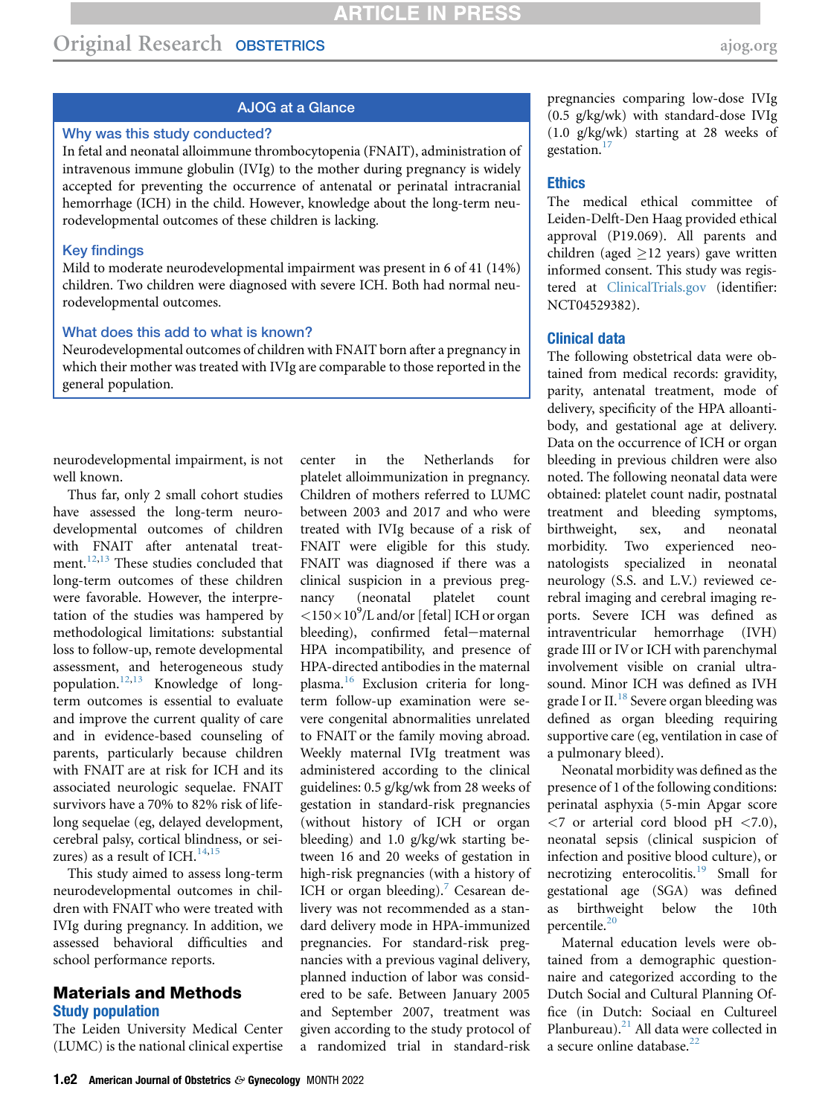## AJOG at a Glance

#### Why was this study conducted?

In fetal and neonatal alloimmune thrombocytopenia (FNAIT), administration of intravenous immune globulin (IVIg) to the mother during pregnancy is widely accepted for preventing the occurrence of antenatal or perinatal intracranial hemorrhage (ICH) in the child. However, knowledge about the long-term neurodevelopmental outcomes of these children is lacking.

#### Key findings

Mild to moderate neurodevelopmental impairment was present in 6 of 41 (14%) children. Two children were diagnosed with severe ICH. Both had normal neurodevelopmental outcomes.

#### What does this add to what is known?

Neurodevelopmental outcomes of children with FNAIT born after a pregnancy in which their mother was treated with IVIg are comparable to those reported in the general population.

neurodevelopmental impairment, is not well known.

Thus far, only 2 small cohort studies have assessed the long-term neurodevelopmental outcomes of children with FNAIT after antenatal treat-ment.<sup>[12](#page-7-9)[,13](#page-7-10)</sup> These studies concluded that long-term outcomes of these children were favorable. However, the interpretation of the studies was hampered by methodological limitations: substantial loss to follow-up, remote developmental assessment, and heterogeneous study population.[12](#page-7-9),[13](#page-7-10) Knowledge of longterm outcomes is essential to evaluate and improve the current quality of care and in evidence-based counseling of parents, particularly because children with FNAIT are at risk for ICH and its associated neurologic sequelae. FNAIT survivors have a 70% to 82% risk of lifelong sequelae (eg, delayed development, cerebral palsy, cortical blindness, or seizures) as a result of ICH. $^{14,15}$  $^{14,15}$  $^{14,15}$  $^{14,15}$ 

This study aimed to assess long-term neurodevelopmental outcomes in children with FNAIT who were treated with IVIg during pregnancy. In addition, we assessed behavioral difficulties and school performance reports.

#### Materials and Methods Study population

The Leiden University Medical Center (LUMC) is the national clinical expertise center in the Netherlands for platelet alloimmunization in pregnancy. Children of mothers referred to LUMC between 2003 and 2017 and who were treated with IVIg because of a risk of FNAIT were eligible for this study. FNAIT was diagnosed if there was a clinical suspicion in a previous pregnancy (neonatal platelet count  $<$ 150 $\times$ 10<sup>9</sup>/L and/or [fetal] ICH or organ bleeding), confirmed fetal-maternal HPA incompatibility, and presence of HPA-directed antibodies in the maternal plasma.[16](#page-7-13) Exclusion criteria for longterm follow-up examination were severe congenital abnormalities unrelated to FNAIT or the family moving abroad. Weekly maternal IVIg treatment was administered according to the clinical guidelines: 0.5 g/kg/wk from 28 weeks of gestation in standard-risk pregnancies (without history of ICH or organ bleeding) and 1.0 g/kg/wk starting between 16 and 20 weeks of gestation in high-risk pregnancies (with a history of ICH or organ bleeding).<sup>[7](#page-7-4)</sup> Cesarean delivery was not recommended as a standard delivery mode in HPA-immunized pregnancies. For standard-risk pregnancies with a previous vaginal delivery, planned induction of labor was considered to be safe. Between January 2005 and September 2007, treatment was given according to the study protocol of a randomized trial in standard-risk pregnancies comparing low-dose IVIg (0.5 g/kg/wk) with standard-dose IVIg (1.0 g/kg/wk) starting at 28 weeks of gestation.<sup>[17](#page-7-14)</sup>

#### **Ethics**

The medical ethical committee of Leiden-Delft-Den Haag provided ethical approval (P19.069). All parents and children (aged  $\geq$ 12 years) gave written informed consent. This study was registered at [ClinicalTrials.gov](http://ClinicalTrials.gov) (identifier: NCT04529382).

#### Clinical data

The following obstetrical data were obtained from medical records: gravidity, parity, antenatal treatment, mode of delivery, specificity of the HPA alloantibody, and gestational age at delivery. Data on the occurrence of ICH or organ bleeding in previous children were also noted. The following neonatal data were obtained: platelet count nadir, postnatal treatment and bleeding symptoms, birthweight, sex, and neonatal morbidity. Two experienced neonatologists specialized in neonatal neurology (S.S. and L.V.) reviewed cerebral imaging and cerebral imaging reports. Severe ICH was defined as intraventricular hemorrhage (IVH) grade III or IV or ICH with parenchymal involvement visible on cranial ultrasound. Minor ICH was defined as IVH grade I or II. $^{18}$  $^{18}$  $^{18}$  Severe organ bleeding was defined as organ bleeding requiring supportive care (eg, ventilation in case of a pulmonary bleed).

Neonatal morbidity was defined as the presence of 1 of the following conditions: perinatal asphyxia (5-min Apgar score  $\langle 7 \text{ or a} \rangle$  reterial cord blood pH  $\langle 7.0 \rangle$ , neonatal sepsis (clinical suspicion of infection and positive blood culture), or necrotizing enterocolitis.<sup>[19](#page-7-16)</sup> Small for gestational age (SGA) was defined as birthweight below the 10th percentile.<sup>[20](#page-7-17)</sup>

Maternal education levels were obtained from a demographic questionnaire and categorized according to the Dutch Social and Cultural Planning Office (in Dutch: Sociaal en Cultureel Planbureau). $^{21}$  $^{21}$  $^{21}$  All data were collected in a secure online database. $22$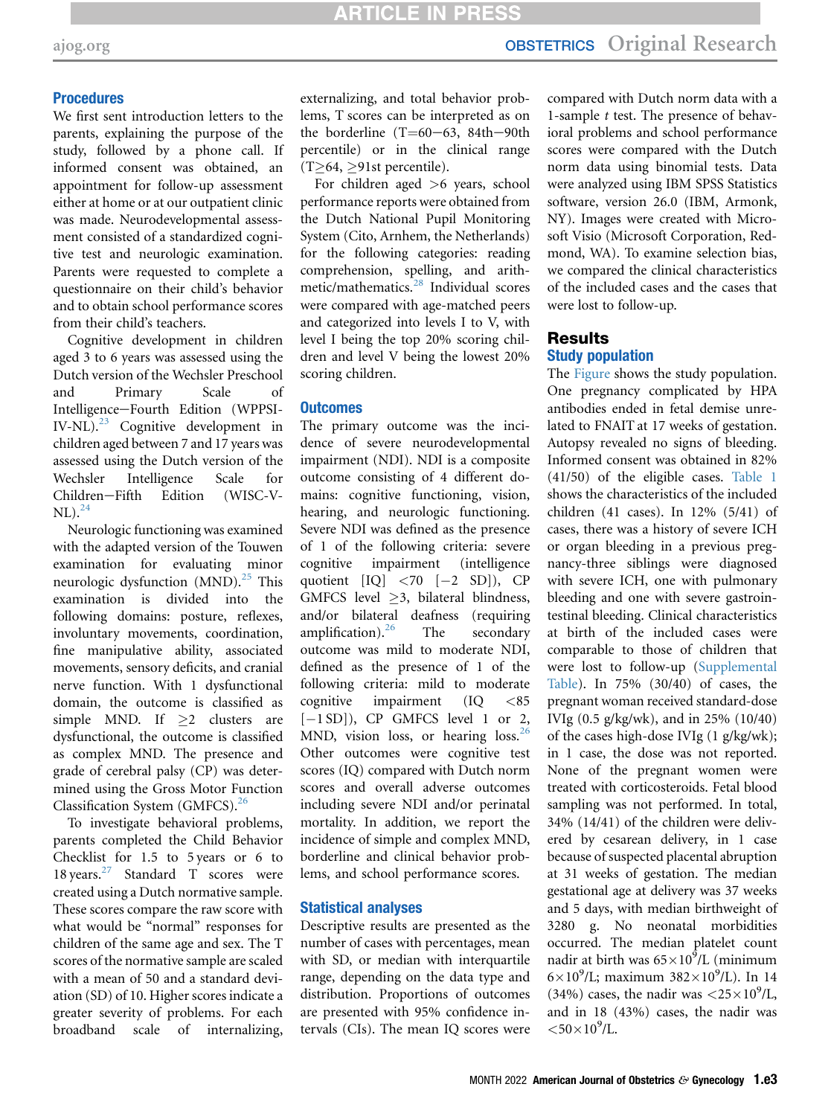#### **Procedures**

We first sent introduction letters to the parents, explaining the purpose of the study, followed by a phone call. If informed consent was obtained, an appointment for follow-up assessment either at home or at our outpatient clinic was made. Neurodevelopmental assessment consisted of a standardized cognitive test and neurologic examination. Parents were requested to complete a questionnaire on their child's behavior and to obtain school performance scores from their child's teachers.

Cognitive development in children aged 3 to 6 years was assessed using the Dutch version of the Wechsler Preschool and Primary Scale of Intelligence-Fourth Edition (WPPSI- $IV-NL$ ).<sup>[23](#page-7-20)</sup> Cognitive development in children aged between 7 and 17 years was assessed using the Dutch version of the Wechsler Intelligence Scale for Children-Fifth Edition (WISC-V- $NL)<sub>24</sub>$  $NL)<sub>24</sub>$  $NL)<sub>24</sub>$ 

Neurologic functioning was examined with the adapted version of the Touwen examination for evaluating minor neurologic dysfunction (MND).<sup>[25](#page-7-22)</sup> This examination is divided into the following domains: posture, reflexes, involuntary movements, coordination, fine manipulative ability, associated movements, sensory deficits, and cranial nerve function. With 1 dysfunctional domain, the outcome is classified as simple MND. If  $\geq$  clusters are dysfunctional, the outcome is classified as complex MND. The presence and grade of cerebral palsy (CP) was determined using the Gross Motor Function Classification System (GMFCS).[26](#page-7-23)

To investigate behavioral problems, parents completed the Child Behavior Checklist for 1.5 to 5 years or 6 to 18 years[.27](#page-7-24) Standard T scores were created using a Dutch normative sample. These scores compare the raw score with what would be "normal" responses for children of the same age and sex. The T scores of the normative sample are scaled with a mean of 50 and a standard deviation (SD) of 10. Higher scores indicate a greater severity of problems. For each broadband scale of internalizing,

externalizing, and total behavior problems, T scores can be interpreted as on the borderline (T=60-63, 84th-90th percentile) or in the clinical range  $(T\geq 64, \geq 91$ st percentile).

For children aged >6 years, school performance reports were obtained from the Dutch National Pupil Monitoring System (Cito, Arnhem, the Netherlands) for the following categories: reading comprehension, spelling, and arithmetic/mathematics.[28](#page-7-25) Individual scores were compared with age-matched peers and categorized into levels I to V, with level I being the top 20% scoring children and level V being the lowest 20% scoring children.

#### **Outcomes**

The primary outcome was the incidence of severe neurodevelopmental impairment (NDI). NDI is a composite outcome consisting of 4 different domains: cognitive functioning, vision, hearing, and neurologic functioning. Severe NDI was defined as the presence of 1 of the following criteria: severe cognitive impairment (intelligence quotient  $[IQ] < 70$   $[-2 S D]$ , CP GMFCS level  $\geq$ 3, bilateral blindness, and/or bilateral deafness (requiring amplification). $^{26}$  $^{26}$  $^{26}$  The secondary outcome was mild to moderate NDI, defined as the presence of 1 of the following criteria: mild to moderate cognitive impairment (IQ <85  $[-1 S D]$ ), CP GMFCS level 1 or 2, MND, vision loss, or hearing loss.<sup>[26](#page-7-23)</sup> Other outcomes were cognitive test scores (IQ) compared with Dutch norm scores and overall adverse outcomes including severe NDI and/or perinatal mortality. In addition, we report the incidence of simple and complex MND, borderline and clinical behavior problems, and school performance scores.

#### Statistical analyses

Descriptive results are presented as the number of cases with percentages, mean with SD, or median with interquartile range, depending on the data type and distribution. Proportions of outcomes are presented with 95% confidence intervals (CIs). The mean IQ scores were

compared with Dutch norm data with a 1-sample t test. The presence of behavioral problems and school performance scores were compared with the Dutch norm data using binomial tests. Data were analyzed using IBM SPSS Statistics software, version 26.0 (IBM, Armonk, NY). Images were created with Microsoft Visio (Microsoft Corporation, Redmond, WA). To examine selection bias, we compared the clinical characteristics of the included cases and the cases that were lost to follow-up.

## Results Study population

The [Figure](#page-3-0) shows the study population. One pregnancy complicated by HPA antibodies ended in fetal demise unrelated to FNAIT at 17 weeks of gestation. Autopsy revealed no signs of bleeding. Informed consent was obtained in 82% (41/50) of the eligible cases. [Table 1](#page-4-0) shows the characteristics of the included children (41 cases). In 12% (5/41) of cases, there was a history of severe ICH or organ bleeding in a previous pregnancy-three siblings were diagnosed with severe ICH, one with pulmonary bleeding and one with severe gastrointestinal bleeding. Clinical characteristics at birth of the included cases were comparable to those of children that were lost to follow-up [\(Supplemental](#page-8-0) [Table\)](#page-8-0). In 75% (30/40) of cases, the pregnant woman received standard-dose IVIg (0.5 g/kg/wk), and in 25% (10/40) of the cases high-dose IVIg (1 g/kg/wk); in 1 case, the dose was not reported. None of the pregnant women were treated with corticosteroids. Fetal blood sampling was not performed. In total, 34% (14/41) of the children were delivered by cesarean delivery, in 1 case because of suspected placental abruption at 31 weeks of gestation. The median gestational age at delivery was 37 weeks and 5 days, with median birthweight of 3280 g. No neonatal morbidities occurred. The median platelet count nadir at birth was  $65\times10^5$ /L (minimum  $6 \times 10^9$ /L; maximum 382×10<sup>9</sup>/L). In 14 (34%) cases, the nadir was  $\langle 25 \times 10^9 / L$ , and in 18 (43%) cases, the nadir was  $<$  50 $\times$  10<sup>9</sup>/L.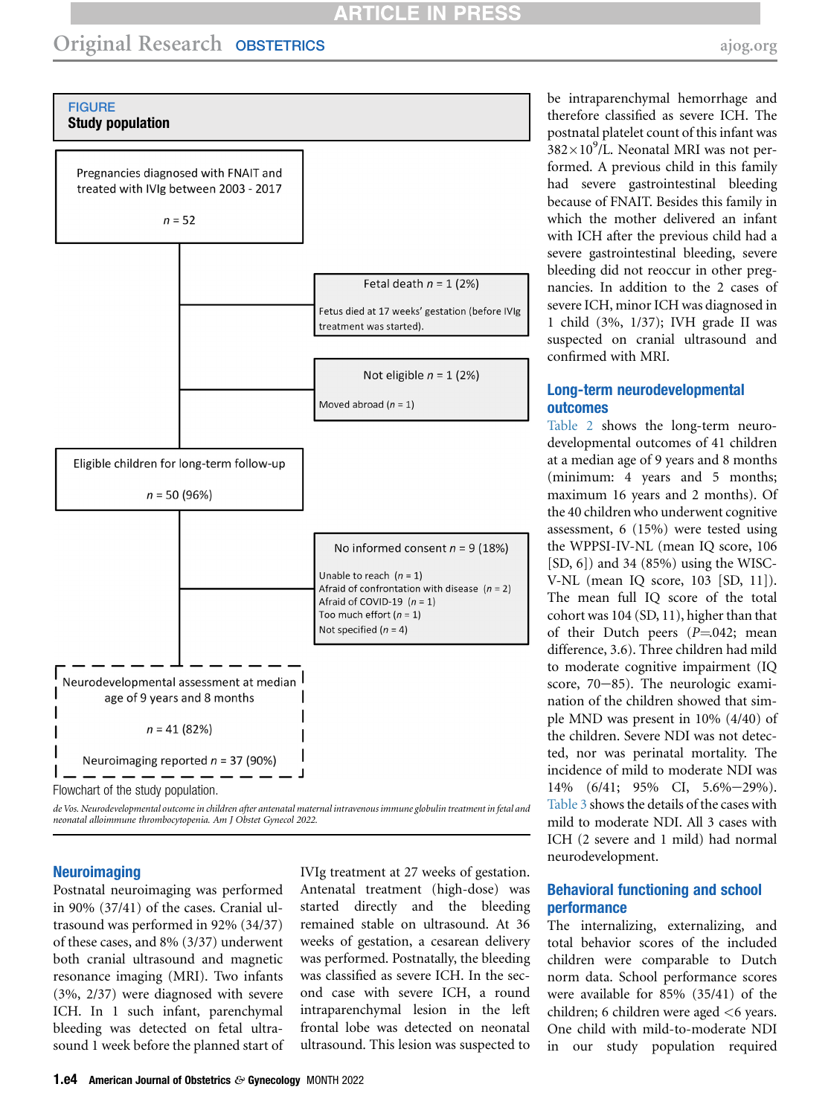# **ARTICLE IN PRESS**

<span id="page-3-0"></span>

de Vos. Neurodevelopmental outcome in children after antenatal maternal intravenous immune globulin treatment in fetal and neonatal alloimmune thrombocytopenia. Am J Obstet Gynecol 2022.

#### **Neuroimaging**

Postnatal neuroimaging was performed in 90% (37/41) of the cases. Cranial ultrasound was performed in 92% (34/37) of these cases, and 8% (3/37) underwent both cranial ultrasound and magnetic resonance imaging (MRI). Two infants (3%, 2/37) were diagnosed with severe ICH. In 1 such infant, parenchymal bleeding was detected on fetal ultrasound 1 week before the planned start of IVIg treatment at 27 weeks of gestation. Antenatal treatment (high-dose) was started directly and the bleeding remained stable on ultrasound. At 36 weeks of gestation, a cesarean delivery was performed. Postnatally, the bleeding was classified as severe ICH. In the second case with severe ICH, a round intraparenchymal lesion in the left frontal lobe was detected on neonatal ultrasound. This lesion was suspected to

be intraparenchymal hemorrhage and therefore classified as severe ICH. The postnatal platelet count of this infant was  $382\times10^9$ /L. Neonatal MRI was not performed. A previous child in this family had severe gastrointestinal bleeding because of FNAIT. Besides this family in which the mother delivered an infant with ICH after the previous child had a severe gastrointestinal bleeding, severe bleeding did not reoccur in other pregnancies. In addition to the 2 cases of severe ICH, minor ICH was diagnosed in 1 child (3%, 1/37); IVH grade II was suspected on cranial ultrasound and confirmed with MRI.

#### Long-term neurodevelopmental outcomes

[Table 2](#page-5-0) shows the long-term neurodevelopmental outcomes of 41 children at a median age of 9 years and 8 months (minimum: 4 years and 5 months; maximum 16 years and 2 months). Of the 40 children who underwent cognitive assessment, 6 (15%) were tested using the WPPSI-IV-NL (mean IQ score, 106  $[SD, 6]$  and 34  $(85%)$  using the WISC-V-NL (mean IQ score, 103 [SD, 11]). The mean full IQ score of the total cohort was 104 (SD, 11), higher than that of their Dutch peers  $(P=0.042; \text{mean})$ difference, 3.6). Three children had mild to moderate cognitive impairment (IQ score,  $70-85$ ). The neurologic examination of the children showed that simple MND was present in 10% (4/40) of the children. Severe NDI was not detected, nor was perinatal mortality. The incidence of mild to moderate NDI was  $14\%$  (6/41; 95% CI, 5.6%-29%). [Table 3](#page-6-0) shows the details of the cases with mild to moderate NDI. All 3 cases with ICH (2 severe and 1 mild) had normal neurodevelopment.

## Behavioral functioning and school performance

The internalizing, externalizing, and total behavior scores of the included children were comparable to Dutch norm data. School performance scores were available for 85% (35/41) of the children; 6 children were aged <6 years. One child with mild-to-moderate NDI in our study population required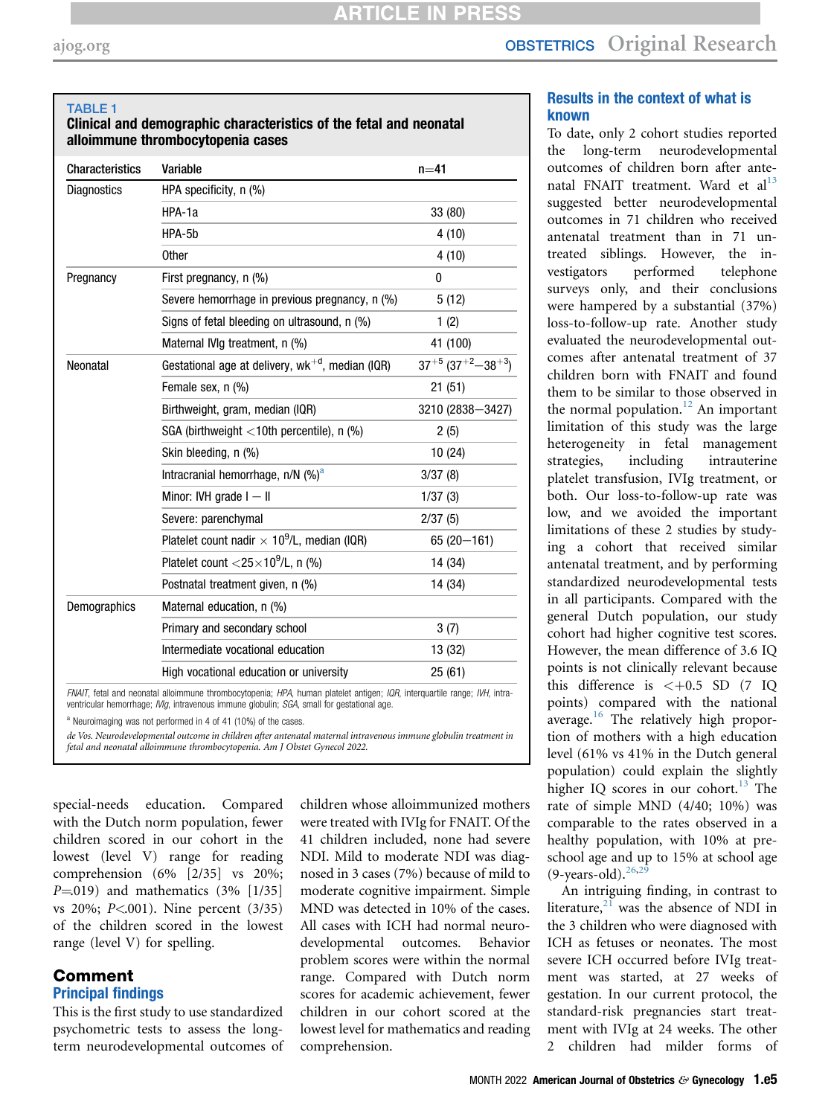<span id="page-4-0"></span>TABLE 1

Clinical and demographic characteristics of the fetal and neonatal alloimmune thrombocytopenia cases

| <b>Characteristics</b> | Variable                                                                                                                                                                                                                        | $n=41$                          |
|------------------------|---------------------------------------------------------------------------------------------------------------------------------------------------------------------------------------------------------------------------------|---------------------------------|
| <b>Diagnostics</b>     | HPA specificity, n (%)                                                                                                                                                                                                          |                                 |
|                        | HPA-1a                                                                                                                                                                                                                          | 33 (80)                         |
|                        | HPA-5b                                                                                                                                                                                                                          | 4 (10)                          |
|                        | <b>Other</b>                                                                                                                                                                                                                    | 4(10)                           |
| Pregnancy              | First pregnancy, n (%)                                                                                                                                                                                                          | 0                               |
|                        | Severe hemorrhage in previous pregnancy, n (%)                                                                                                                                                                                  | 5(12)                           |
|                        | Signs of fetal bleeding on ultrasound, n (%)                                                                                                                                                                                    | 1(2)                            |
|                        | Maternal IVIq treatment, n (%)                                                                                                                                                                                                  | 41 (100)                        |
| Neonatal               | Gestational age at delivery, $wk^{+d}$ , median (IQR)                                                                                                                                                                           | $37^{+5}$ $(37^{+2} - 38^{+3})$ |
|                        | Female sex, n (%)                                                                                                                                                                                                               | 21(51)                          |
|                        | Birthweight, gram, median (IQR)                                                                                                                                                                                                 | 3210 (2838-3427)                |
|                        | SGA (birthweight $\langle$ 10th percentile), n (%)                                                                                                                                                                              | 2(5)                            |
|                        | Skin bleeding, n (%)                                                                                                                                                                                                            | 10(24)                          |
|                        | Intracranial hemorrhage, $n/N$ (%) <sup>a</sup>                                                                                                                                                                                 | 3/37(8)                         |
|                        | Minor: IVH grade $I - II$                                                                                                                                                                                                       | 1/37(3)                         |
|                        | Severe: parenchymal                                                                                                                                                                                                             | 2/37(5)                         |
|                        | Platelet count nadir $\times$ 10 <sup>9</sup> /L, median (IQR)                                                                                                                                                                  | $65(20 - 161)$                  |
|                        | Platelet count $<$ 25 $\times$ 10 <sup>9</sup> /L, n (%)                                                                                                                                                                        | 14 (34)                         |
|                        | Postnatal treatment given, n (%)                                                                                                                                                                                                | 14 (34)                         |
| Demographics           | Maternal education, n (%)                                                                                                                                                                                                       |                                 |
|                        | Primary and secondary school                                                                                                                                                                                                    | 3(7)                            |
|                        | Intermediate vocational education                                                                                                                                                                                               | 13 (32)                         |
|                        | High vocational education or university                                                                                                                                                                                         | 25(61)                          |
|                        | FNAIT, fetal and neonatal alloimmune thrombocytopenia; HPA, human platelet antigen; IQR, interguartile range; IVH, intra-<br>ventricular hemorrhage; <i>IVIg</i> , intravenous immune globulin; SGA, small for gestational age. |                                 |

<span id="page-4-1"></span>Neuroimaging was not performed in 4 of 41 (10%) of the cases.

de Vos. Neurodevelopmental outcome in children after antenatal maternal intravenous immune globulin treatment in fetal and neonatal alloimmune thrombocytopenia. Am J Obstet Gynecol 2022.

special-needs education. Compared with the Dutch norm population, fewer children scored in our cohort in the lowest (level V) range for reading comprehension (6% [2/35] vs 20%;  $P=019$ ) and mathematics (3% [1/35] vs 20%; P<.001). Nine percent (3/35) of the children scored in the lowest range (level V) for spelling.

#### Comment Principal findings

This is the first study to use standardized psychometric tests to assess the longterm neurodevelopmental outcomes of children whose alloimmunized mothers were treated with IVIg for FNAIT. Of the 41 children included, none had severe NDI. Mild to moderate NDI was diagnosed in 3 cases (7%) because of mild to moderate cognitive impairment. Simple MND was detected in 10% of the cases. All cases with ICH had normal neurodevelopmental outcomes. Behavior problem scores were within the normal range. Compared with Dutch norm scores for academic achievement, fewer children in our cohort scored at the lowest level for mathematics and reading comprehension.

## Results in the context of what is known

To date, only 2 cohort studies reported the long-term neurodevelopmental outcomes of children born after ante-natal FNAIT treatment. Ward et al<sup>[13](#page-7-10)</sup> suggested better neurodevelopmental outcomes in 71 children who received antenatal treatment than in 71 untreated siblings. However, the investigators performed telephone surveys only, and their conclusions were hampered by a substantial (37%) loss-to-follow-up rate. Another study evaluated the neurodevelopmental outcomes after antenatal treatment of 37 children born with FNAIT and found them to be similar to those observed in the normal population.<sup>[12](#page-7-9)</sup> An important limitation of this study was the large heterogeneity in fetal management strategies, including intrauterine platelet transfusion, IVIg treatment, or both. Our loss-to-follow-up rate was low, and we avoided the important limitations of these 2 studies by studying a cohort that received similar antenatal treatment, and by performing standardized neurodevelopmental tests in all participants. Compared with the general Dutch population, our study cohort had higher cognitive test scores. However, the mean difference of 3.6 IQ points is not clinically relevant because this difference is  $\lt +0.5$  SD (7 IO points) compared with the national average. $16$  The relatively high proportion of mothers with a high education level (61% vs 41% in the Dutch general population) could explain the slightly higher IQ scores in our cohort.<sup>[13](#page-7-10)</sup> The rate of simple MND (4/40; 10%) was comparable to the rates observed in a healthy population, with 10% at preschool age and up to 15% at school age  $(9$ -years-old).<sup>[26](#page-7-23),[29](#page-7-26)</sup>

An intriguing finding, in contrast to literature, $21$  was the absence of NDI in the 3 children who were diagnosed with ICH as fetuses or neonates. The most severe ICH occurred before IVIg treatment was started, at 27 weeks of gestation. In our current protocol, the standard-risk pregnancies start treatment with IVIg at 24 weeks. The other 2 children had milder forms of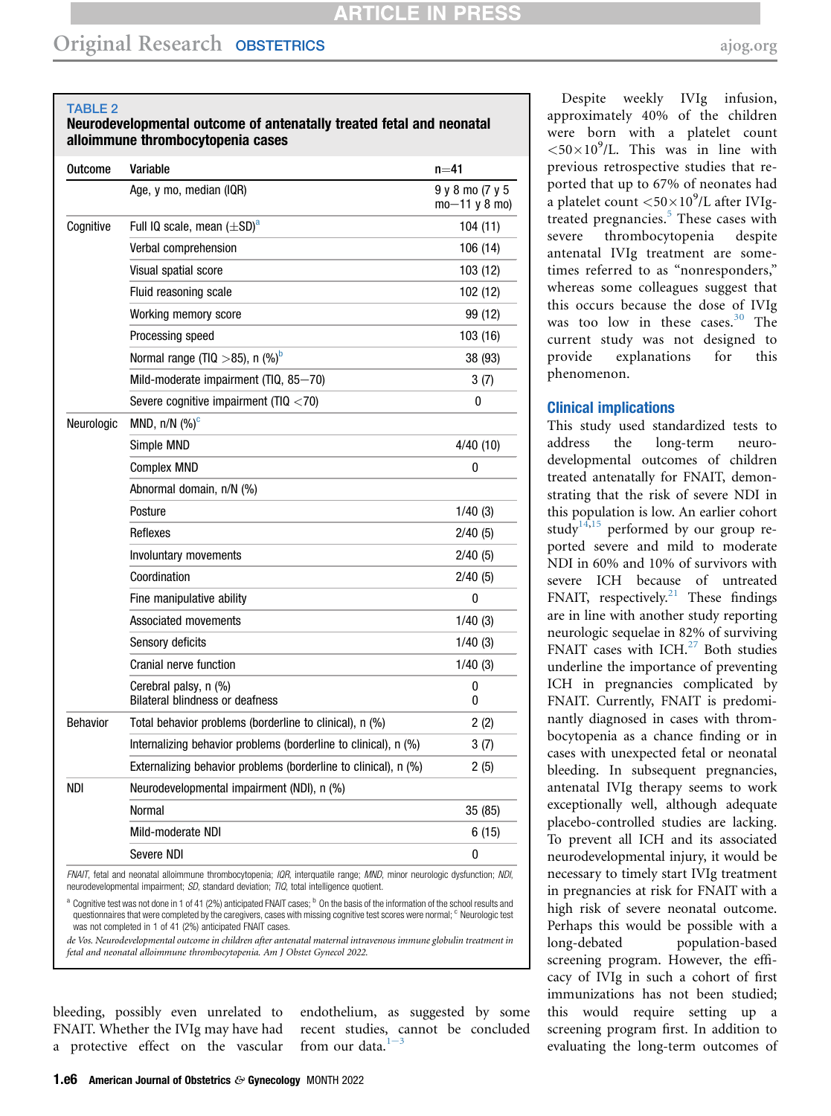#### <span id="page-5-0"></span>TABLE 2

#### Neurodevelopmental outcome of antenatally treated fetal and neonatal alloimmune thrombocytopenia cases

| Outcome         | Variable                                                        | $n = 41$                           |
|-----------------|-----------------------------------------------------------------|------------------------------------|
|                 | Age, y mo, median (IQR)                                         | 9 y 8 mo (7 y 5<br>$mo-11$ y 8 mo) |
| Cognitive       | Full IQ scale, mean $(\pm SD)^d$                                | 104 (11)                           |
|                 | Verbal comprehension                                            | 106(14)                            |
|                 | Visual spatial score                                            | 103 (12)                           |
|                 | Fluid reasoning scale                                           | 102 (12)                           |
|                 | Working memory score                                            | 99 (12)                            |
|                 | Processing speed                                                | 103 (16)                           |
|                 | Normal range (TIQ $>$ 85), n (%) <sup>b</sup>                   | 38 (93)                            |
|                 | Mild-moderate impairment (TIQ, 85-70)                           | 3(7)                               |
|                 | Severe cognitive impairment (TIQ $<$ 70)                        | 0                                  |
| Neurologic      | MND, $n/N$ (%) <sup>c</sup>                                     |                                    |
|                 | Simple MND                                                      | 4/40(10)                           |
|                 | <b>Complex MND</b>                                              | 0                                  |
|                 | Abnormal domain, n/N (%)                                        |                                    |
|                 | Posture                                                         | 1/40(3)                            |
|                 | Reflexes                                                        | 2/40(5)                            |
|                 | Involuntary movements                                           | 2/40(5)                            |
|                 | Coordination                                                    | 2/40(5)                            |
|                 | Fine manipulative ability                                       | 0                                  |
|                 | Associated movements                                            | 1/40(3)                            |
|                 | Sensory deficits                                                | 1/40(3)                            |
|                 | Cranial nerve function                                          | 1/40(3)                            |
|                 | Cerebral palsy, n (%)<br><b>Bilateral blindness or deafness</b> | 0<br>0                             |
| <b>Behavior</b> | Total behavior problems (borderline to clinical), n (%)         | 2(2)                               |
|                 | Internalizing behavior problems (borderline to clinical), n (%) | 3(7)                               |
|                 | Externalizing behavior problems (borderline to clinical), n (%) | 2(5)                               |
| NDI             | Neurodevelopmental impairment (NDI), n (%)                      |                                    |
|                 | Normal                                                          | 35 (85)                            |
|                 | Mild-moderate NDI                                               | 6(15)                              |
|                 | Severe NDI                                                      | 0                                  |

FNAIT, fetal and neonatal alloimmune thrombocytopenia; IQR, interquatile range; MND, minor neurologic dysfunction; NDI, neurodevelopmental impairment; SD, standard deviation; TIQ, total intelligence quotient.

<span id="page-5-2"></span><span id="page-5-1"></span><sup>a</sup> Cognitive test was not done in 1 of 41 (2%) anticipated FNAIT cases; <sup>b</sup> On the basis of the information of the school results and questionnaires that were completed by the caregivers, cases with missing cognitive test scores were normal; <sup>c</sup> Neurologic test was not completed in 1 of 41 (2%) anticipated FNAIT cases.

de Vos. Neurodevelopmental outcome in children after antenatal maternal intravenous immune globulin treatment in fetal and neonatal alloimmune thrombocytopenia. Am J Obstet Gynecol 2022.

bleeding, possibly even unrelated to FNAIT. Whether the IVIg may have had a protective effect on the vascular endothelium, as suggested by some recent studies, cannot be concluded from our data. $1-3$ 

Despite weekly IVIg infusion, approximately 40% of the children were born with a platelet count  $<$  50 $\times$ 10<sup>9</sup>/L. This was in line with previous retrospective studies that reported that up to 67% of neonates had a platelet count  $<$  50 $\times$ 10<sup>9</sup>/L after IVIg-treated pregnancies.<sup>[5](#page-7-2)</sup> These cases with severe thrombocytopenia despite antenatal IVIg treatment are sometimes referred to as "nonresponders," whereas some colleagues suggest that this occurs because the dose of IVIg was too low in these cases.<sup>[30](#page-7-27)</sup> The current study was not designed to provide explanations for this phenomenon.

#### Clinical implications

This study used standardized tests to address the long-term neurodevelopmental outcomes of children treated antenatally for FNAIT, demonstrating that the risk of severe NDI in this population is low. An earlier cohort study<sup>[14](#page-7-11),[15](#page-7-12)</sup> performed by our group reported severe and mild to moderate NDI in 60% and 10% of survivors with severe ICH because of untreated FNAIT, respectively.<sup>[21](#page-7-18)</sup> These findings are in line with another study reporting neurologic sequelae in 82% of surviving FNAIT cases with ICH.<sup>[27](#page-7-24)</sup> Both studies underline the importance of preventing ICH in pregnancies complicated by FNAIT. Currently, FNAIT is predominantly diagnosed in cases with thrombocytopenia as a chance finding or in cases with unexpected fetal or neonatal bleeding. In subsequent pregnancies, antenatal IVIg therapy seems to work exceptionally well, although adequate placebo-controlled studies are lacking. To prevent all ICH and its associated neurodevelopmental injury, it would be necessary to timely start IVIg treatment in pregnancies at risk for FNAIT with a high risk of severe neonatal outcome. Perhaps this would be possible with a long-debated population-based screening program. However, the efficacy of IVIg in such a cohort of first immunizations has not been studied; this would require setting up a screening program first. In addition to evaluating the long-term outcomes of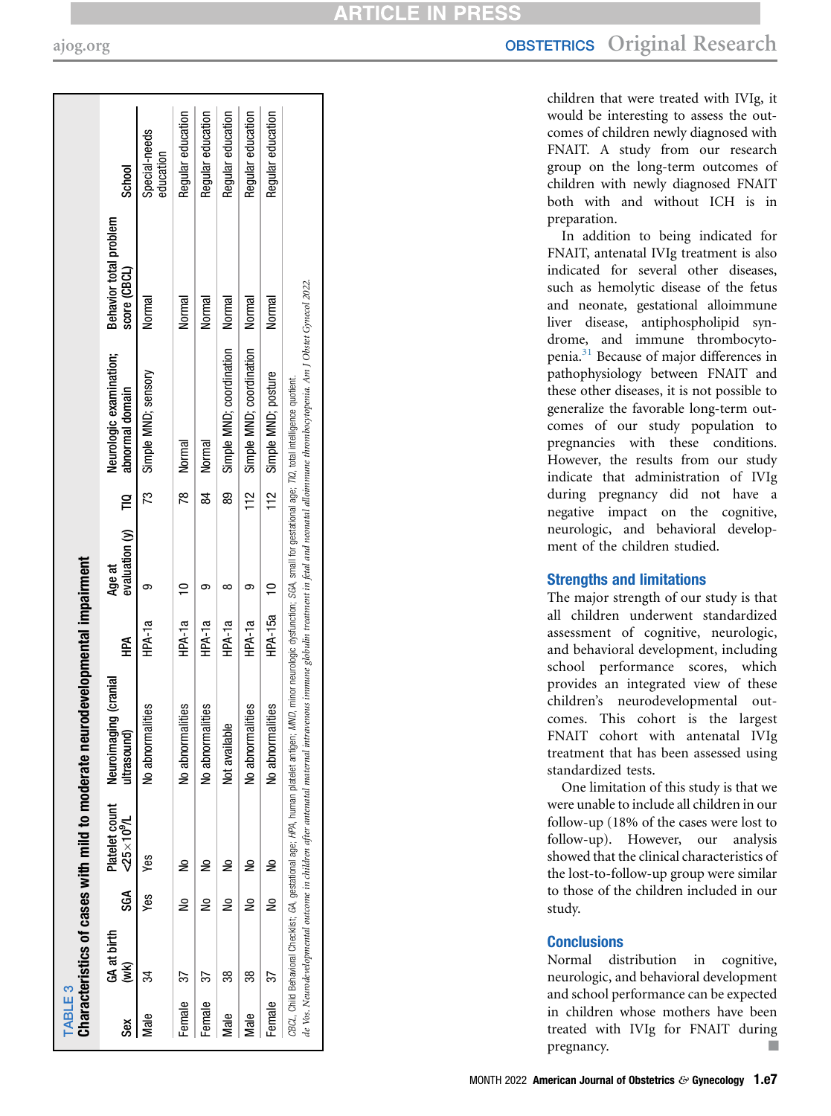<span id="page-6-0"></span>

| ŠêX       | GA at birth<br>(WK) | SGA    | $-25 \times 10^{9}$ /L | Platelet count Neuroimaging (cranial<br>ultrasoun | A<br>全     | evaluation $(y)$<br>Age at | F   | Neurologic examination;<br>abnormal domain | Behavior total problem<br>score (CBCL) | School                     |
|-----------|---------------------|--------|------------------------|---------------------------------------------------|------------|----------------------------|-----|--------------------------------------------|----------------------------------------|----------------------------|
| Male      |                     | Yes    | Yes                    | malities<br>No abnor                              | HPA-1a     |                            | ಌ   | Simple MND; sensory                        | Normal                                 | Special-needs<br>education |
| Female    | 57                  | ₿      | ş                      | malities<br>No abnor                              | HPA-1a     | $\overline{C}$             |     | 78 Normal                                  | Normal                                 | Regular education          |
| Female    | 37                  | ş      | å                      | malities<br>No abnor                              | HPA-1a     |                            | ಜ   | Normal                                     | Normal                                 | Regular education          |
| Male      | 38                  | 울      | ₽                      | Not available                                     | HPA-1a     | ∞                          | ౙ   | Simple MND; coordination                   | Normal                                 | Regular education          |
| Male      | 38                  | ⋛      | 울                      | malities<br>No abnori                             | HPA-1a     |                            | 112 | Simple MND; coordination                   | Normal                                 | Regular education          |
| Female 37 |                     | )<br>S | $\tilde{=}$            | No abnormalities                                  | HPA-15a 10 |                            |     | 112 Simple MND; posture                    | Normal                                 | Regular education          |

# [ajog.org](http://www.AJOG.org) **OBSTETRICS** Original Research

children that were treated with IVIg, it would be interesting to assess the outcomes of children newly diagnosed with FNAIT. A study from our research group on the long-term outcomes of children with newly diagnosed FNAIT both with and without ICH is in preparation.

In addition to being indicated for FNAIT, antenatal IVIg treatment is also indicated for several other diseases, such as hemolytic disease of the fetus and neonate, gestational alloimmune liver disease, antiphospholipid syndrome, and immune thrombocytopenia.[31](#page-7-28) Because of major differences in pathophysiology between FNAIT and these other diseases, it is not possible to generalize the favorable long-term outcomes of our study population to pregnancies with these conditions. However, the results from our study indicate that administration of IVIg during pregnancy did not have a negative impact on the cognitive, neurologic, and behavioral development of the children studied.

## Strengths and limitations

The major strength of our study is that all children underwent standardized assessment of cognitive, neurologic, and behavioral development, including school performance scores, which provides an integrated view of these children 's neurodevelopmental outcomes. This cohort is the largest FNAIT cohort with antenatal IVIg treatment that has been assessed using standardized tests.

One limitation of this study is that we were unable to include all children in our follow-up (18% of the cases were lost to follow-up). However, our analysis showed that the clinical characteristics of the lost-to-follow-up group were similar to those of the children included in our study.

## **Conclusions**

Normal distribution in cognitive, neurologic, and behavioral development and school performance can be expected in children whose mothers have been treated with IVIg for FNAIT during pregnancy. n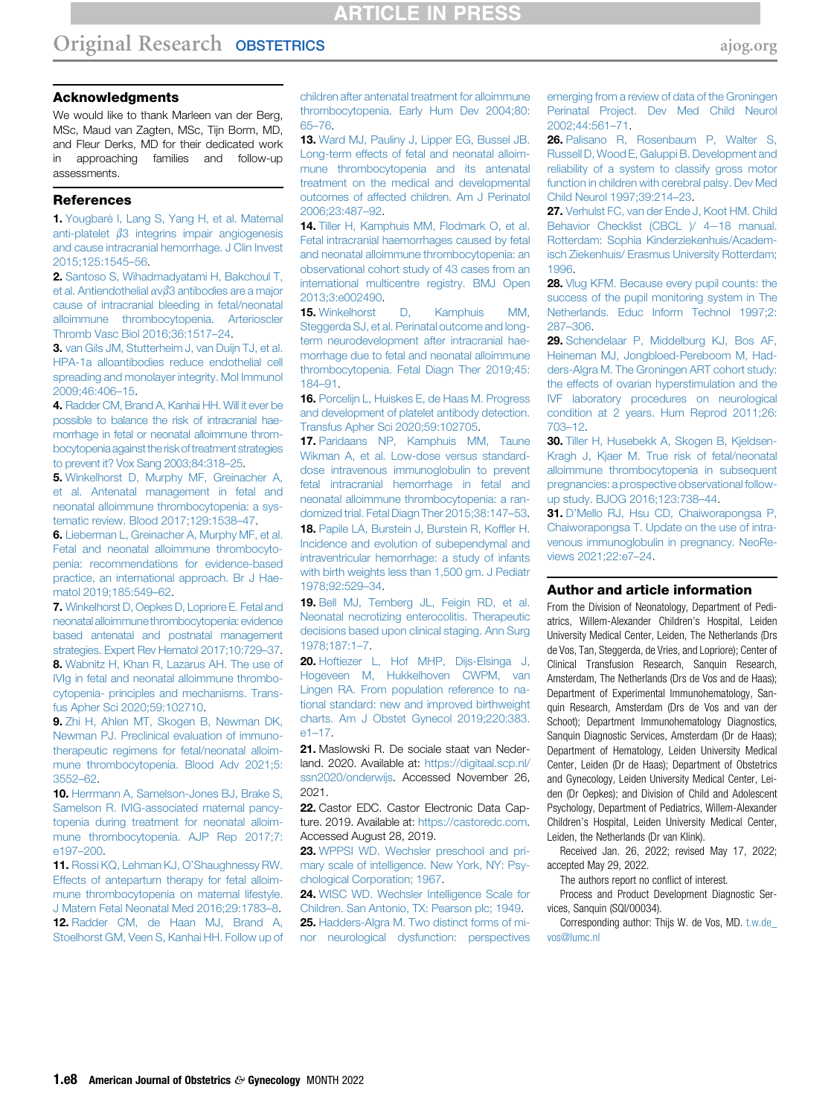# **ARTICLE IN PRESS**

#### Acknowledgments

We would like to thank Marleen van der Berg, MSc, Maud van Zagten, MSc, Tijn Borm, MD, and Fleur Derks, MD for their dedicated work in approaching families and follow-up assessments.

#### References

<span id="page-7-0"></span>1. [Yougbaré I, Lang S, Yang H, et al. Maternal](http://refhub.elsevier.com/S0002-9378(22)00438-0/sref1) anti-platelet  $\beta$ 3 integrins impair angiogenesis and cause intracranial hemorrhage. J Clin Invest 2015;125:1545–56.

2. [Santoso S, Wihadmadyatami H, Bakchoul T,](http://refhub.elsevier.com/S0002-9378(22)00438-0/sref2) et al. Antiendothelial  $\alpha \nu \beta$ [3 antibodies are a major](http://refhub.elsevier.com/S0002-9378(22)00438-0/sref2) [cause of intracranial bleeding in fetal/neonatal](http://refhub.elsevier.com/S0002-9378(22)00438-0/sref2) [alloimmune thrombocytopenia. Arterioscler](http://refhub.elsevier.com/S0002-9378(22)00438-0/sref2) [Thromb Vasc Biol 2016;36:1517](http://refhub.elsevier.com/S0002-9378(22)00438-0/sref2)–24.

3. [van Gils JM, Stutterheim J, van Duijn TJ, et al.](http://refhub.elsevier.com/S0002-9378(22)00438-0/sref3) [HPA-1a alloantibodies reduce endothelial cell](http://refhub.elsevier.com/S0002-9378(22)00438-0/sref3) [spreading and monolayer integrity. Mol Immunol](http://refhub.elsevier.com/S0002-9378(22)00438-0/sref3) [2009;46:406](http://refhub.elsevier.com/S0002-9378(22)00438-0/sref3)–15.

<span id="page-7-1"></span>4. [Radder CM, Brand A, Kanhai HH. Will it ever be](http://refhub.elsevier.com/S0002-9378(22)00438-0/sref4) [possible to balance the risk of intracranial hae](http://refhub.elsevier.com/S0002-9378(22)00438-0/sref4)[morrhage in fetal or neonatal alloimmune throm](http://refhub.elsevier.com/S0002-9378(22)00438-0/sref4)bocytopenia against the risk of treatment strategies [to prevent it? Vox Sang 2003;84:318](http://refhub.elsevier.com/S0002-9378(22)00438-0/sref4)–25.

<span id="page-7-2"></span>5. [Winkelhorst D, Murphy MF, Greinacher A,](http://refhub.elsevier.com/S0002-9378(22)00438-0/sref5) [et al. Antenatal management in fetal and](http://refhub.elsevier.com/S0002-9378(22)00438-0/sref5) [neonatal alloimmune thrombocytopenia: a sys](http://refhub.elsevier.com/S0002-9378(22)00438-0/sref5)[tematic review. Blood 2017;129:1538](http://refhub.elsevier.com/S0002-9378(22)00438-0/sref5)–47.

<span id="page-7-3"></span>6. [Lieberman L, Greinacher A, Murphy MF, et al.](http://refhub.elsevier.com/S0002-9378(22)00438-0/sref6) [Fetal and neonatal alloimmune thrombocyto](http://refhub.elsevier.com/S0002-9378(22)00438-0/sref6)[penia: recommendations for evidence-based](http://refhub.elsevier.com/S0002-9378(22)00438-0/sref6) [practice, an international approach. Br J Hae](http://refhub.elsevier.com/S0002-9378(22)00438-0/sref6)[matol 2019;185:549](http://refhub.elsevier.com/S0002-9378(22)00438-0/sref6)–62.

<span id="page-7-5"></span><span id="page-7-4"></span>7. [Winkelhorst D, Oepkes D, Lopriore E. Fetal and](http://refhub.elsevier.com/S0002-9378(22)00438-0/sref7) [neonatal alloimmunethrombocytopenia: evidence](http://refhub.elsevier.com/S0002-9378(22)00438-0/sref7) [based antenatal and postnatal management](http://refhub.elsevier.com/S0002-9378(22)00438-0/sref7) [strategies. Expert Rev Hematol 2017;10:729](http://refhub.elsevier.com/S0002-9378(22)00438-0/sref7)–37. 8. [Wabnitz H, Khan R, Lazarus AH. The use of](http://refhub.elsevier.com/S0002-9378(22)00438-0/sref8) [IVIg in fetal and neonatal alloimmune thrombo](http://refhub.elsevier.com/S0002-9378(22)00438-0/sref8)[cytopenia- principles and mechanisms. Trans](http://refhub.elsevier.com/S0002-9378(22)00438-0/sref8)[fus Apher Sci 2020;59:102710.](http://refhub.elsevier.com/S0002-9378(22)00438-0/sref8)

<span id="page-7-6"></span>9. [Zhi H, Ahlen MT, Skogen B, Newman DK,](http://refhub.elsevier.com/S0002-9378(22)00438-0/sref9) [Newman PJ. Preclinical evaluation of immuno](http://refhub.elsevier.com/S0002-9378(22)00438-0/sref9)[therapeutic regimens for fetal/neonatal alloim](http://refhub.elsevier.com/S0002-9378(22)00438-0/sref9)[mune thrombocytopenia. Blood Adv 2021;5:](http://refhub.elsevier.com/S0002-9378(22)00438-0/sref9) [3552](http://refhub.elsevier.com/S0002-9378(22)00438-0/sref9)–62.

<span id="page-7-7"></span>10. [Herrmann A, Samelson-Jones BJ, Brake S,](http://refhub.elsevier.com/S0002-9378(22)00438-0/sref10) [Samelson R. IVIG-associated maternal pancy](http://refhub.elsevier.com/S0002-9378(22)00438-0/sref10)[topenia during treatment for neonatal alloim](http://refhub.elsevier.com/S0002-9378(22)00438-0/sref10)[mune thrombocytopenia. AJP Rep 2017;7:](http://refhub.elsevier.com/S0002-9378(22)00438-0/sref10) [e197](http://refhub.elsevier.com/S0002-9378(22)00438-0/sref10)–200.

<span id="page-7-9"></span><span id="page-7-8"></span>11. [Rossi KQ, Lehman KJ, O](http://refhub.elsevier.com/S0002-9378(22)00438-0/sref11)'Shaughnessy RW. [Effects of antepartum therapy for fetal alloim](http://refhub.elsevier.com/S0002-9378(22)00438-0/sref11)[mune thrombocytopenia on maternal lifestyle.](http://refhub.elsevier.com/S0002-9378(22)00438-0/sref11) [J Matern Fetal Neonatal Med 2016;29:1783](http://refhub.elsevier.com/S0002-9378(22)00438-0/sref11)–8. 12. [Radder CM, de Haan MJ, Brand A,](http://refhub.elsevier.com/S0002-9378(22)00438-0/sref12) [Stoelhorst GM, Veen S, Kanhai HH. Follow up of](http://refhub.elsevier.com/S0002-9378(22)00438-0/sref12) [children after antenatal treatment for alloimmune](http://refhub.elsevier.com/S0002-9378(22)00438-0/sref12) [thrombocytopenia. Early Hum Dev 2004;80:](http://refhub.elsevier.com/S0002-9378(22)00438-0/sref12) 65–[76.](http://refhub.elsevier.com/S0002-9378(22)00438-0/sref12)

<span id="page-7-10"></span>13. [Ward MJ, Pauliny J, Lipper EG, Bussel JB.](http://refhub.elsevier.com/S0002-9378(22)00438-0/sref13) [Long-term effects of fetal and neonatal alloim](http://refhub.elsevier.com/S0002-9378(22)00438-0/sref13)[mune thrombocytopenia and its antenatal](http://refhub.elsevier.com/S0002-9378(22)00438-0/sref13) [treatment on the medical and developmental](http://refhub.elsevier.com/S0002-9378(22)00438-0/sref13) [outcomes of affected children. Am J Perinatol](http://refhub.elsevier.com/S0002-9378(22)00438-0/sref13) [2006;23:487](http://refhub.elsevier.com/S0002-9378(22)00438-0/sref13)–92.

<span id="page-7-11"></span>14. [Tiller H, Kamphuis MM, Flodmark O, et al.](http://refhub.elsevier.com/S0002-9378(22)00438-0/sref14) [Fetal intracranial haemorrhages caused by fetal](http://refhub.elsevier.com/S0002-9378(22)00438-0/sref14) [and neonatal alloimmune thrombocytopenia: an](http://refhub.elsevier.com/S0002-9378(22)00438-0/sref14) [observational cohort study of 43 cases from an](http://refhub.elsevier.com/S0002-9378(22)00438-0/sref14) [international multicentre registry. BMJ Open](http://refhub.elsevier.com/S0002-9378(22)00438-0/sref14) [2013;3:e002490.](http://refhub.elsevier.com/S0002-9378(22)00438-0/sref14)

<span id="page-7-12"></span>15. [Winkelhorst D, Kamphuis MM,](http://refhub.elsevier.com/S0002-9378(22)00438-0/sref15) [Steggerda SJ, et al. Perinatal outcome and long](http://refhub.elsevier.com/S0002-9378(22)00438-0/sref15)[term neurodevelopment after intracranial hae](http://refhub.elsevier.com/S0002-9378(22)00438-0/sref15)[morrhage due to fetal and neonatal alloimmune](http://refhub.elsevier.com/S0002-9378(22)00438-0/sref15) [thrombocytopenia. Fetal Diagn Ther 2019;45:](http://refhub.elsevier.com/S0002-9378(22)00438-0/sref15) [184](http://refhub.elsevier.com/S0002-9378(22)00438-0/sref15)–91.

<span id="page-7-13"></span>16. [Porcelijn L, Huiskes E, de Haas M. Progress](http://refhub.elsevier.com/S0002-9378(22)00438-0/sref16) [and development of platelet antibody detection.](http://refhub.elsevier.com/S0002-9378(22)00438-0/sref16) [Transfus Apher Sci 2020;59:102705](http://refhub.elsevier.com/S0002-9378(22)00438-0/sref16).

<span id="page-7-14"></span>17. [Paridaans NP, Kamphuis MM, Taune](http://refhub.elsevier.com/S0002-9378(22)00438-0/sref17) [Wikman A, et al. Low-dose versus standard](http://refhub.elsevier.com/S0002-9378(22)00438-0/sref17)[dose intravenous immunoglobulin to prevent](http://refhub.elsevier.com/S0002-9378(22)00438-0/sref17) [fetal intracranial hemorrhage in fetal and](http://refhub.elsevier.com/S0002-9378(22)00438-0/sref17) [neonatal alloimmune thrombocytopenia: a ran](http://refhub.elsevier.com/S0002-9378(22)00438-0/sref17)[domized trial. Fetal Diagn Ther 2015;38:147](http://refhub.elsevier.com/S0002-9378(22)00438-0/sref17)–53. 18. [Papile LA, Burstein J, Burstein R, Kof](http://refhub.elsevier.com/S0002-9378(22)00438-0/sref18)fler H, [Incidence and evolution of subependymal and](http://refhub.elsevier.com/S0002-9378(22)00438-0/sref18) [intraventricular hemorrhage: a study of infants](http://refhub.elsevier.com/S0002-9378(22)00438-0/sref18) [with birth weights less than 1,500 gm. J Pediatr](http://refhub.elsevier.com/S0002-9378(22)00438-0/sref18) [1978;92:529](http://refhub.elsevier.com/S0002-9378(22)00438-0/sref18)–34.

<span id="page-7-16"></span><span id="page-7-15"></span>19. [Bell MJ, Ternberg JL, Feigin RD, et al.](http://refhub.elsevier.com/S0002-9378(22)00438-0/sref19) [Neonatal necrotizing enterocolitis. Therapeutic](http://refhub.elsevier.com/S0002-9378(22)00438-0/sref19) [decisions based upon clinical staging. Ann Surg](http://refhub.elsevier.com/S0002-9378(22)00438-0/sref19) [1978;187:1](http://refhub.elsevier.com/S0002-9378(22)00438-0/sref19)–7.

<span id="page-7-17"></span>20. [Hoftiezer L, Hof MHP, Dijs-Elsinga J,](http://refhub.elsevier.com/S0002-9378(22)00438-0/sref20) [Hogeveen M, Hukkelhoven CWPM, van](http://refhub.elsevier.com/S0002-9378(22)00438-0/sref20) [Lingen RA. From population reference to na](http://refhub.elsevier.com/S0002-9378(22)00438-0/sref20)[tional standard: new and improved birthweight](http://refhub.elsevier.com/S0002-9378(22)00438-0/sref20) [charts. Am J Obstet Gynecol 2019;220:383.](http://refhub.elsevier.com/S0002-9378(22)00438-0/sref20) [e1](http://refhub.elsevier.com/S0002-9378(22)00438-0/sref20)–17.

<span id="page-7-18"></span>21. Maslowski R. De sociale staat van Nederland. 2020. Available at: [https://digitaal.scp.nl/](https://digitaal.scp.nl/ssn2020/onderwijs) [ssn2020/onderwijs](https://digitaal.scp.nl/ssn2020/onderwijs). Accessed November 26, 2021.

<span id="page-7-19"></span>22. Castor EDC. Castor Electronic Data Capture. 2019. Available at: <https://castoredc.com>. Accessed August 28, 2019.

<span id="page-7-20"></span>23. [WPPSI WD. Wechsler preschool and pri](http://refhub.elsevier.com/S0002-9378(22)00438-0/sref23)[mary scale of intelligence. New York, NY: Psy](http://refhub.elsevier.com/S0002-9378(22)00438-0/sref23)[chological Corporation; 1967](http://refhub.elsevier.com/S0002-9378(22)00438-0/sref23).

<span id="page-7-22"></span><span id="page-7-21"></span>24. [WISC WD. Wechsler Intelligence Scale for](http://refhub.elsevier.com/S0002-9378(22)00438-0/sref24) [Children. San Antonio, TX: Pearson plc; 1949](http://refhub.elsevier.com/S0002-9378(22)00438-0/sref24). 25. [Hadders-Algra M. Two distinct forms of mi](http://refhub.elsevier.com/S0002-9378(22)00438-0/sref25)[nor neurological dysfunction: perspectives](http://refhub.elsevier.com/S0002-9378(22)00438-0/sref25) [emerging from a review of data of the Groningen](http://refhub.elsevier.com/S0002-9378(22)00438-0/sref25) [Perinatal Project. Dev Med Child Neurol](http://refhub.elsevier.com/S0002-9378(22)00438-0/sref25) [2002;44:561](http://refhub.elsevier.com/S0002-9378(22)00438-0/sref25)–71.

<span id="page-7-23"></span>26. [Palisano R, Rosenbaum P, Walter S,](http://refhub.elsevier.com/S0002-9378(22)00438-0/sref26) [Russell D, Wood E, Galuppi B. Development and](http://refhub.elsevier.com/S0002-9378(22)00438-0/sref26) [reliability of a system to classify gross motor](http://refhub.elsevier.com/S0002-9378(22)00438-0/sref26) [function in children with cerebral palsy. Dev Med](http://refhub.elsevier.com/S0002-9378(22)00438-0/sref26) [Child Neurol 1997;39:214](http://refhub.elsevier.com/S0002-9378(22)00438-0/sref26)–23.

<span id="page-7-24"></span>27. [Verhulst FC, van der Ende J, Koot HM. Child](http://refhub.elsevier.com/S0002-9378(22)00438-0/sref27) [Behavior Checklist \(CBCL \)/ 4](http://refhub.elsevier.com/S0002-9378(22)00438-0/sref27)-18 manual. [Rotterdam: Sophia Kinderziekenhuis/Academ](http://refhub.elsevier.com/S0002-9378(22)00438-0/sref27)[isch Ziekenhuis/ Erasmus University Rotterdam;](http://refhub.elsevier.com/S0002-9378(22)00438-0/sref27) [1996](http://refhub.elsevier.com/S0002-9378(22)00438-0/sref27).

<span id="page-7-25"></span>28. [Vlug KFM. Because every pupil counts: the](http://refhub.elsevier.com/S0002-9378(22)00438-0/sref28) [success of the pupil monitoring system in The](http://refhub.elsevier.com/S0002-9378(22)00438-0/sref28) [Netherlands. Educ Inform Technol 1997;2:](http://refhub.elsevier.com/S0002-9378(22)00438-0/sref28) 287–[306.](http://refhub.elsevier.com/S0002-9378(22)00438-0/sref28)

<span id="page-7-26"></span>29. [Schendelaar P, Middelburg KJ, Bos AF,](http://refhub.elsevier.com/S0002-9378(22)00438-0/sref29) [Heineman MJ, Jongbloed-Pereboom M, Had](http://refhub.elsevier.com/S0002-9378(22)00438-0/sref29)[ders-Algra M. The Groningen ART cohort study:](http://refhub.elsevier.com/S0002-9378(22)00438-0/sref29) [the effects of ovarian hyperstimulation and the](http://refhub.elsevier.com/S0002-9378(22)00438-0/sref29) [IVF laboratory procedures on neurological](http://refhub.elsevier.com/S0002-9378(22)00438-0/sref29) [condition at 2 years. Hum Reprod 2011;26:](http://refhub.elsevier.com/S0002-9378(22)00438-0/sref29) [703](http://refhub.elsevier.com/S0002-9378(22)00438-0/sref29)–12.

<span id="page-7-27"></span>30. [Tiller H, Husebekk A, Skogen B, Kjeldsen-](http://refhub.elsevier.com/S0002-9378(22)00438-0/sref30)[Kragh J, Kjaer M. True risk of fetal/neonatal](http://refhub.elsevier.com/S0002-9378(22)00438-0/sref30) [alloimmune thrombocytopenia in subsequent](http://refhub.elsevier.com/S0002-9378(22)00438-0/sref30) [pregnancies: a prospective observational follow](http://refhub.elsevier.com/S0002-9378(22)00438-0/sref30)[up study. BJOG 2016;123:738](http://refhub.elsevier.com/S0002-9378(22)00438-0/sref30)–44.

<span id="page-7-28"></span>31. D'[Mello RJ, Hsu CD, Chaiworapongsa P,](http://refhub.elsevier.com/S0002-9378(22)00438-0/sref31) [Chaiworapongsa T. Update on the use of intra](http://refhub.elsevier.com/S0002-9378(22)00438-0/sref31)[venous immunoglobulin in pregnancy. NeoRe](http://refhub.elsevier.com/S0002-9378(22)00438-0/sref31)[views 2021;22:e7](http://refhub.elsevier.com/S0002-9378(22)00438-0/sref31)–24.

#### Author and article information

From the Division of Neonatology, Department of Pediatrics, Willem-Alexander Children's Hospital, Leiden University Medical Center, Leiden, The Netherlands (Drs de Vos, Tan, Steggerda, de Vries, and Lopriore); Center of Clinical Transfusion Research, Sanquin Research, Amsterdam, The Netherlands (Drs de Vos and de Haas); Department of Experimental Immunohematology, Sanquin Research, Amsterdam (Drs de Vos and van der Schoot); Department Immunohematology Diagnostics, Sanquin Diagnostic Services, Amsterdam (Dr de Haas); Department of Hematology, Leiden University Medical Center, Leiden (Dr de Haas); Department of Obstetrics and Gynecology, Leiden University Medical Center, Leiden (Dr Oepkes); and Division of Child and Adolescent Psychology, Department of Pediatrics, Willem-Alexander Children's Hospital, Leiden University Medical Center, Leiden, the Netherlands (Dr van Klink).

Received Jan. 26, 2022; revised May 17, 2022; accepted May 29, 2022.

The authors report no conflict of interest.

Process and Product Development Diagnostic Services, Sanquin (SQI/00034).

Corresponding author: Thijs W. de Vos, MD. [t.w.de\\_](mailto:t.w.de_vos@lumc.nl) [vos@lumc.nl](mailto:t.w.de_vos@lumc.nl)